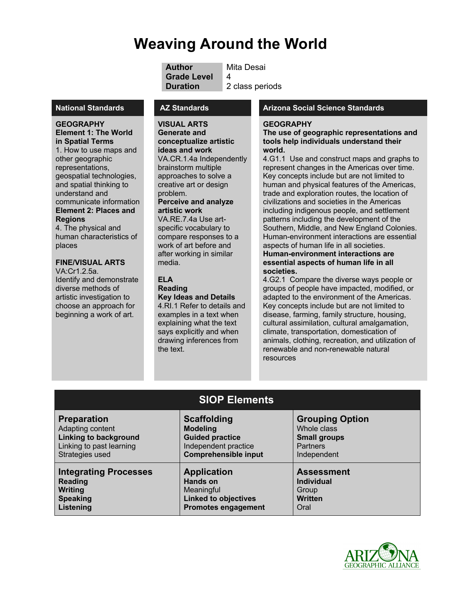# **Weaving Around the World**

**Author** Mita Desai **Grade Level** 4 **Duration** 2 class periods

**GEOGRAPHY Element 1: The World in Spatial Terms**  1. How to use maps and other geographic representations, geospatial technologies, and spatial thinking to understand and communicate information **Element 2: Places and Regions**

4. The physical and human characteristics of places

## **FINE/VISUAL ARTS**

VA:Cr1.2.5a. Identify and demonstrate diverse methods of artistic investigation to choose an approach for beginning a work of art.

**VISUAL ARTS Generate and conceptualize artistic ideas and work** VA.CR.1.4a Independently brainstorm multiple approaches to solve a creative art or design problem.

#### **Perceive and analyze artistic work**

VA.RE.7.4a Use artspecific vocabulary to compare responses to a work of art before and after working in similar media.

#### **ELA Reading Key Ideas and Details**

4.RI.1 Refer to details and examples in a text when explaining what the text says explicitly and when drawing inferences from the text.

## **National Standards AZ Standards Arizona Social Science Standards**

#### **GEOGRAPHY**

**The use of geographic representations and tools help individuals understand their world.**

4.G1.1Use and construct maps and graphs to represent changes in the Americas over time. Key concepts include but are not limited to human and physical features of the Americas, trade and exploration routes, the location of civilizations and societies in the Americas including indigenous people, and settlement patterns including the development of the Southern, Middle, and New England Colonies. Human-environment interactions are essential aspects of human life in all societies.

#### **Human-environment interactions are essential aspects of human life in all societies.**

4.G2.1 Compare the diverse ways people or groups of people have impacted, modified, or adapted to the environment of the Americas. Key concepts include but are not limited to disease, farming, family structure, housing, cultural assimilation, cultural amalgamation, climate, transportation, domestication of animals, clothing, recreation, and utilization of renewable and non-renewable natural resources

| <b>SIOP Elements</b>         |                             |                        |
|------------------------------|-----------------------------|------------------------|
| <b>Preparation</b>           | <b>Scaffolding</b>          | <b>Grouping Option</b> |
| Adapting content             | <b>Modeling</b>             | Whole class            |
| <b>Linking to background</b> | <b>Guided practice</b>      | <b>Small groups</b>    |
| Linking to past learning     | Independent practice        | <b>Partners</b>        |
| Strategies used              | <b>Comprehensible input</b> | Independent            |
| <b>Integrating Processes</b> | <b>Application</b>          | <b>Assessment</b>      |
| <b>Reading</b>               | Hands on                    | <b>Individual</b>      |
| Writing                      | Meaningful                  | Group                  |
| <b>Speaking</b>              | <b>Linked to objectives</b> | <b>Written</b>         |
| Listening                    | <b>Promotes engagement</b>  | Oral                   |

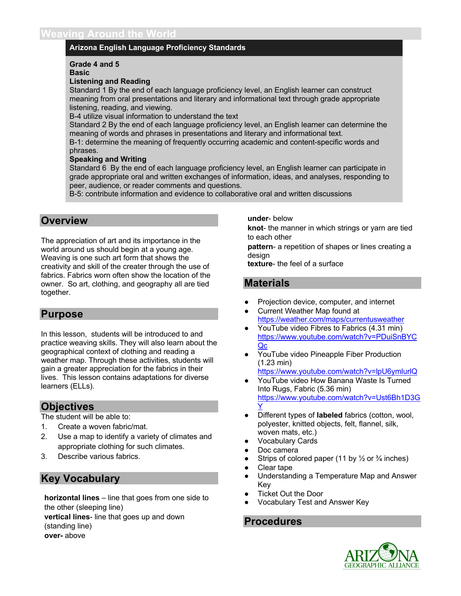## **Arizona English Language Proficiency Standards**

#### **Grade 4 and 5**

**Basic**

#### **Listening and Reading**

Standard 1 By the end of each language proficiency level, an English learner can construct meaning from oral presentations and literary and informational text through grade appropriate listening, reading, and viewing.

B-4 utilize visual information to understand the text

Standard 2 By the end of each language proficiency level, an English learner can determine the meaning of words and phrases in presentations and literary and informational text.

B-1: determine the meaning of frequently occurring academic and content-specific words and phrases.

#### **Speaking and Writing**

Standard 6 By the end of each language proficiency level, an English learner can participate in grade appropriate oral and written exchanges of information, ideas, and analyses, responding to peer, audience, or reader comments and questions.

B-5: contribute information and evidence to collaborative oral and written discussions

## **Overview**

The appreciation of art and its importance in the world around us should begin at a young age. Weaving is one such art form that shows the creativity and skill of the creater through the use of fabrics. Fabrics worn often show the location of the owner. So art, clothing, and geography all are tied together.

## **Purpose**

In this lesson, students will be introduced to and practice weaving skills. They will also learn about the geographical context of clothing and reading a weather map. Through these activities, students will gain a greater appreciation for the fabrics in their lives. This lesson contains adaptations for diverse learners (ELLs).

## **Objectives**

The student will be able to:

- 1. Create a woven fabric/mat.
- 2. Use a map to identify a variety of climates and appropriate clothing for such climates.
- 3. Describe various fabrics.

## **Key Vocabulary**

**horizontal lines** – line that goes from one side to the other (sleeping line) **vertical lines**- line that goes up and down (standing line) **over-** above

**under**- below

**knot**- the manner in which strings or yarn are tied to each other

**pattern**- a repetition of shapes or lines creating a desian

**texture**- the feel of a surface

## **Materials**

- Projection device, computer, and internet
- **Current Weather Map found at** https://weather.com/maps/currentusweather
- YouTube video Fibres to Fabrics (4.31 min) https://www.youtube.com/watch?v=PDuiSnBYC Qc
- YouTube video Pineapple Fiber Production (1.23 min) https://www.youtube.com/watch?v=lpU6ymlurlQ
- YouTube video How Banana Waste Is Turned Into Rugs, Fabric (5.36 min) https://www.youtube.com/watch?v=Ust6Bh1D3G Y
- Different types of **labeled** fabrics (cotton, wool, polyester, knitted objects, felt, flannel, silk, woven mats, etc.)
- **Vocabulary Cards**
- Doc camera
- Strips of colored paper (11 by  $\frac{1}{2}$  or  $\frac{3}{4}$  inches)
- Clear tape
- Understanding a Temperature Map and Answer Key
- **Ticket Out the Door**
- Vocabulary Test and Answer Key

## **Procedures**

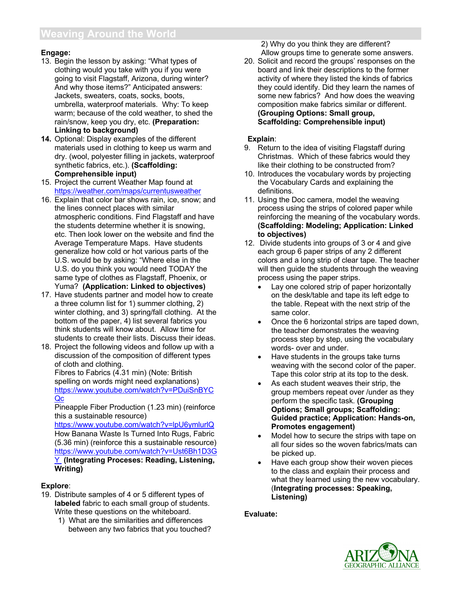## **Engage:**

- 13. Begin the lesson by asking: "What types of clothing would you take with you if you were going to visit Flagstaff, Arizona, during winter? And why those items?" Anticipated answers: Jackets, sweaters, coats, socks, boots, umbrella, waterproof materials. Why: To keep warm; because of the cold weather, to shed the rain/snow, keep you dry, etc. **(Preparation: Linking to background)**
- **14.** Optional: Display examples of the different materials used in clothing to keep us warm and dry. (wool, polyester filling in jackets, waterproof synthetic fabrics, etc.). **(Scaffolding: Comprehensible input)**
- 15. Project the current Weather Map found at https://weather.com/maps/currentusweather
- 16. Explain that color bar shows rain, ice, snow; and the lines connect places with similar atmospheric conditions. Find Flagstaff and have the students determine whether it is snowing, etc. Then look lower on the website and find the Average Temperature Maps. Have students generalize how cold or hot various parts of the U.S. would be by asking: "Where else in the U.S. do you think you would need TODAY the same type of clothes as Flagstaff, Phoenix, or Yuma? **(Application: Linked to objectives)**
- 17. Have students partner and model how to create a three column list for 1) summer clothing, 2) winter clothing, and 3) spring/fall clothing. At the bottom of the paper, 4) list several fabrics you think students will know about. Allow time for students to create their lists. Discuss their ideas.
- 18. Project the following videos and follow up with a discussion of the composition of different types of cloth and clothing.

Fibres to Fabrics (4.31 min) (Note: British spelling on words might need explanations) https://www.youtube.com/watch?v=PDuiSnBYC Qc

Pineapple Fiber Production (1.23 min) (reinforce this a sustainable resource)

https://www.youtube.com/watch?v=lpU6ymlurlQ How Banana Waste Is Turned Into Rugs, Fabric (5.36 min) (reinforce this a sustainable resource) https://www.youtube.com/watch?v=Ust6Bh1D3G Y **(Integrating Proceses: Reading, Listening, Writing)**

## **Explore**:

- 19. Distribute samples of 4 or 5 different types of **labeled** fabric to each small group of students. Write these questions on the whiteboard.
	- 1) What are the similarities and differences between any two fabrics that you touched?

2) Why do you think they are different? Allow groups time to generate some answers.

20. Solicit and record the groups' responses on the board and link their descriptions to the former activity of where they listed the kinds of fabrics they could identify. Did they learn the names of some new fabrics? And how does the weaving composition make fabrics similar or different. **(Grouping Options: Small group, Scaffolding: Comprehensible input)** 

## **Explain**:

- 9. Return to the idea of visiting Flagstaff during Christmas. Which of these fabrics would they like their clothing to be constructed from?
- 10. Introduces the vocabulary words by projecting the Vocabulary Cards and explaining the definitions.
- 11. Using the Doc camera, model the weaving process using the strips of colored paper while reinforcing the meaning of the vocabulary words. **(Scaffolding: Modeling; Application: Linked to objectives)**
- 12. Divide students into groups of 3 or 4 and give each group 6 paper strips of any 2 different colors and a long strip of clear tape. The teacher will then guide the students through the weaving process using the paper strips.
	- Lay one colored strip of paper horizontally on the desk/table and tape its left edge to the table. Repeat with the next strip of the same color.
	- Once the 6 horizontal strips are taped down, the teacher demonstrates the weaving process step by step, using the vocabulary words- over and under.
	- Have students in the groups take turns weaving with the second color of the paper. Tape this color strip at its top to the desk.
	- As each student weaves their strip, the group members repeat over /under as they perform the specific task. **(Grouping Options; Small groups; Scaffolding: Guided practice; Application: Hands-on, Promotes engagement)**
	- Model how to secure the strips with tape on all four sides so the woven fabrics/mats can be picked up.
	- Have each group show their woven pieces to the class and explain their process and what they learned using the new vocabulary. (**Integrating processes: Speaking, Listening)**

## **Evaluate:**